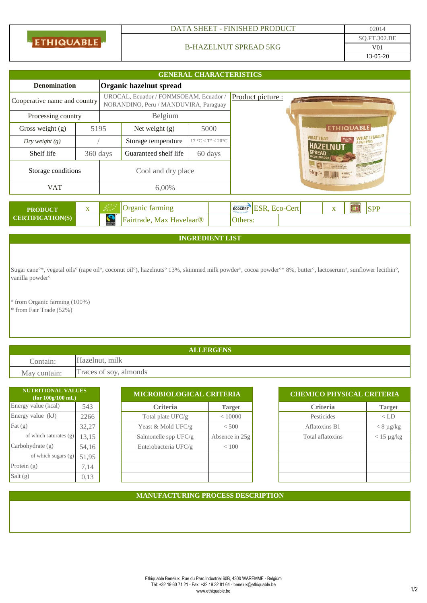| <b>ETHIQUABLE</b> |
|-------------------|
|                   |

## DATA SHEET - FINISHED PRODUCT 02014

### B-HAZELNUT SPREAD 5KG

| <b>GENERAL CHARACTERISTICS</b>                 |          |                        |                                                                                 |  |                                             |                  |                       |                                                                                                                                                       |                   |  |            |
|------------------------------------------------|----------|------------------------|---------------------------------------------------------------------------------|--|---------------------------------------------|------------------|-----------------------|-------------------------------------------------------------------------------------------------------------------------------------------------------|-------------------|--|------------|
| Organic hazelnut spread<br><b>Denomination</b> |          |                        |                                                                                 |  |                                             |                  |                       |                                                                                                                                                       |                   |  |            |
| Cooperative name and country                   |          |                        | UROCAL, Ecuador / FONMSOEAM, Ecuador /<br>NORANDINO, Peru / MANDUVIRA, Paraguay |  |                                             |                  | Product picture :     |                                                                                                                                                       |                   |  |            |
| Processing country                             |          | Belgium                |                                                                                 |  |                                             |                  |                       |                                                                                                                                                       |                   |  |            |
| Gross weight (g)                               | 5195     |                        | Net weight $(g)$                                                                |  | 5000                                        |                  |                       |                                                                                                                                                       | <b>ETHIQUABLE</b> |  |            |
| Dry weight $(g)$                               |          |                        | Storage temperature                                                             |  | $17 \text{ °C} < T^{\circ} < 20 \text{ °C}$ |                  |                       | <b>WHAT I STAND FOR</b><br><b>WHAT I EAT</b><br><b>PALM OIL</b><br><b>AFAIRP</b><br><b>HAZELNUT</b>                                                   |                   |  |            |
| Shelf life                                     | 360 days |                        | Guaranteed shelf life                                                           |  | 60 days                                     |                  |                       | <b>SPREAD</b><br><b>COA ECUANNE</b>                                                                                                                   |                   |  |            |
| Storage conditions                             |          | Cool and dry place     |                                                                                 |  |                                             | 5kg <sub>2</sub> |                       | $\begin{array}{r} \begin{array}{c} \text{In times both} \\ \text{in, 4+14} \text{,} \\ \text{A number of} \\ \text{in, 4+14} \end{array} \end{array}$ |                   |  |            |
| <b>VAT</b>                                     |          | 6,00%                  |                                                                                 |  |                                             |                  |                       |                                                                                                                                                       |                   |  |            |
|                                                |          |                        |                                                                                 |  |                                             |                  |                       |                                                                                                                                                       |                   |  |            |
| <b>PRODUCT</b>                                 | X        | فسينتهج                | Organic farming                                                                 |  |                                             |                  | ECOCERT ESR, ECO-Cert |                                                                                                                                                       | X                 |  | <b>SPP</b> |
| <b>CERTIFICATION(S)</b>                        |          | $\sum_{\text{maxmax}}$ | Fairtrade, Max Havelaar®                                                        |  |                                             | Others:          |                       |                                                                                                                                                       |                   |  |            |

## **INGREDIENT LIST**

Sugar cane°\*, vegetal oils° (rape oil°, coconut oil°), hazelnuts° 13%, skimmed milk powder°, cocoa powder°\* 8%, butter°, lactoserum°, sunflower lecithin°, vanilla powder°

° from Organic farming (100%) \* from Fair Trade (52%)

**ALLERGENS** Contain: Hazelnut, milk May contain: Traces of soy, almonds

| NUTRITIONAL VALUES<br>(for $100g/100$ mL) |       | MICROBIOLOGICAL CRITERIA |                  | <b>CHEMICO PHYSICAL CRITERIA</b> |                 |  |  |
|-------------------------------------------|-------|--------------------------|------------------|----------------------------------|-----------------|--|--|
| Energy value (kcal)<br>543                |       | <b>Criteria</b>          | <b>Target</b>    | <b>Criteria</b>                  | <b>Target</b>   |  |  |
| Energy value (kJ)                         | 2266  | Total plate $UFC/g$      | < 10000          | Pesticides                       | $<$ LD          |  |  |
| Fat $(g)$                                 | 32,27 | Yeast & Mold UFC/g       | < 500            | Aflatoxins B1                    | $< 8 \mu g/kg$  |  |  |
| of which saturates (g)                    | 13,15 | Salmonelle spp UFC/g     | Absence in $25g$ | Total aflatoxins                 | $< 15 \mu g/kg$ |  |  |
| Carbohydrate(g)                           | 54,16 | Enterobacteria UFC/g     | ${}< 100$        |                                  |                 |  |  |
| of which sugars (g)                       | 51,95 |                          |                  |                                  |                 |  |  |
| Protein $(g)$                             | 7,14  |                          |                  |                                  |                 |  |  |
| Salt $(g)$                                | 0,13  |                          |                  |                                  |                 |  |  |

| <b>CHEMICO PHYSICAL CRITERIA</b> |                 |  |  |  |  |  |
|----------------------------------|-----------------|--|--|--|--|--|
| <b>Criteria</b>                  | <b>Target</b>   |  |  |  |  |  |
| Pesticides                       | $<$ LD          |  |  |  |  |  |
| Aflatoxins B1                    | $< 8 \mu g/kg$  |  |  |  |  |  |
| Total aflatoxins                 | $< 15 \mu g/kg$ |  |  |  |  |  |
|                                  |                 |  |  |  |  |  |
|                                  |                 |  |  |  |  |  |
|                                  |                 |  |  |  |  |  |
|                                  |                 |  |  |  |  |  |

### **MANUFACTURING PROCESS DESCRIPTION**